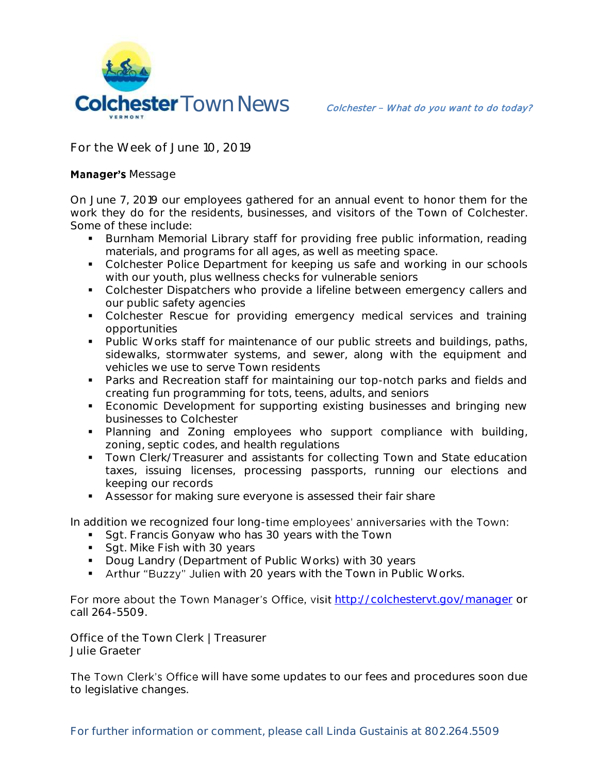

**For the Week of June 10, 2019**

## **Manager's Message**

On June 7, 2019 our employees gathered for an annual event to honor them for the work they do for the residents, businesses, and visitors of the Town of Colchester. Some of these include:

- **Burnham Memorial Library staff for providing free public information, reading** materials, and programs for all ages, as well as meeting space.
- Colchester Police Department for keeping us safe and working in our schools with our youth, plus wellness checks for vulnerable seniors
- Colchester Dispatchers who provide a lifeline between emergency callers and our public safety agencies
- Colchester Rescue for providing emergency medical services and training opportunities
- Public Works staff for maintenance of our public streets and buildings, paths, sidewalks, stormwater systems, and sewer, along with the equipment and vehicles we use to serve Town residents
- Parks and Recreation staff for maintaining our top-notch parks and fields and creating fun programming for tots, teens, adults, and seniors
- Economic Development for supporting existing businesses and bringing new businesses to Colchester
- Planning and Zoning employees who support compliance with building, zoning, septic codes, and health regulations
- **Town Clerk/Treasurer and assistants for collecting Town and State education** taxes, issuing licenses, processing passports, running our elections and keeping our records
- Assessor for making sure everyone is assessed their fair share

In addition we recognized four long-time employees' anniversaries with the Town:

- Sqt. Francis Gonyaw who has 30 years with the Town
- Sqt. Mike Fish with 30 years
- Doug Landry (Department of Public Works) with 30 years
- **Arthur "Buzzy" Julien with 20 years with the Town in Public Works.**

For more about the Town Manager's Office, visit <http://colchestervt.gov/manager> or call 264-5509.

**Office of the Town Clerk | Treasurer Julie Graeter**

The Town Clerk's Office will have some updates to our fees and procedures soon due to legislative changes.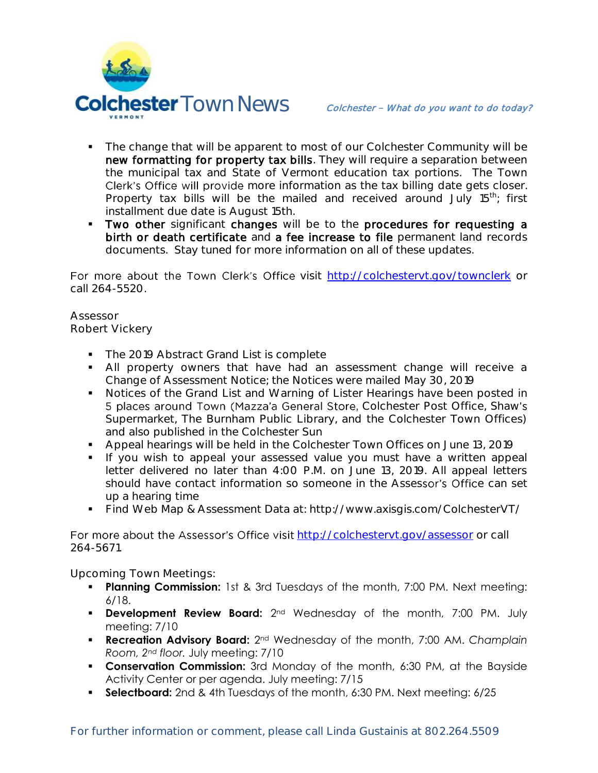

- The change that will be apparent to most of our Colchester Community will be new formatting for property tax bills. They will require a separation between the municipal tax and State of Vermont education tax portions. The Town Clerk's Office will provide more information as the tax billing date gets closer. Property tax bills will be the mailed and received around July 15<sup>th</sup>; first installment due date is August 15th.
- Two other significant changes will be to the procedures for requesting a birth or death certificate and a fee increase to file permanent land records documents. Stay tuned for more information on all of these updates.

For more about the Town Clerk's Office visit <http://colchestervt.gov/townclerk> or call 264-5520.

**Assessor Robert Vickery**

- The 2019 Abstract Grand List is complete
- All property owners that have had an assessment change will receive a Change of Assessment Notice; the Notices were mailed May 30, 2019
- **Notices of the Grand List and Warning of Lister Hearings have been posted in** 5 places around Town (Mazza'a General Store, Colchester Post Office, Shaw's Supermarket, The Burnham Public Library, and the Colchester Town Offices) and also published in the Colchester Sun
- Appeal hearings will be held in the Colchester Town Offices on June 13, 2019
- If you wish to appeal your assessed value you must have a written appeal letter delivered no later than 4:00 P.M. on June 13, 2019. All appeal letters should have contact information so someone in the Assessor's Office can set up a hearing time
- Find Web Map & Assessment Data at: http://www.axisgis.com/ColchesterVT/

For more about the Assessor's Office visit <http://colchestervt.gov/assessor> or call 264-5671.

**Upcoming Town Meetings:** 

- **Planning Commission:** 1st & 3rd Tuesdays of the month, 7:00 PM. Next meeting: 6/18.
- **Development Review Board:** 2<sup>nd</sup> Wednesday of the month, 7:00 PM. July meeting: 7/10
- **Recreation Advisory Board:** 2nd Wednesday of the month, 7:00 AM. *Champlain Room, 2nd floor.* July meeting: 7/10
- **Conservation Commission:** 3rd Monday of the month, 6:30 PM, at the Bayside Activity Center or per agenda. July meeting: 7/15
- **Selectboard:** 2nd & 4th Tuesdays of the month, 6:30 PM. Next meeting: 6/25